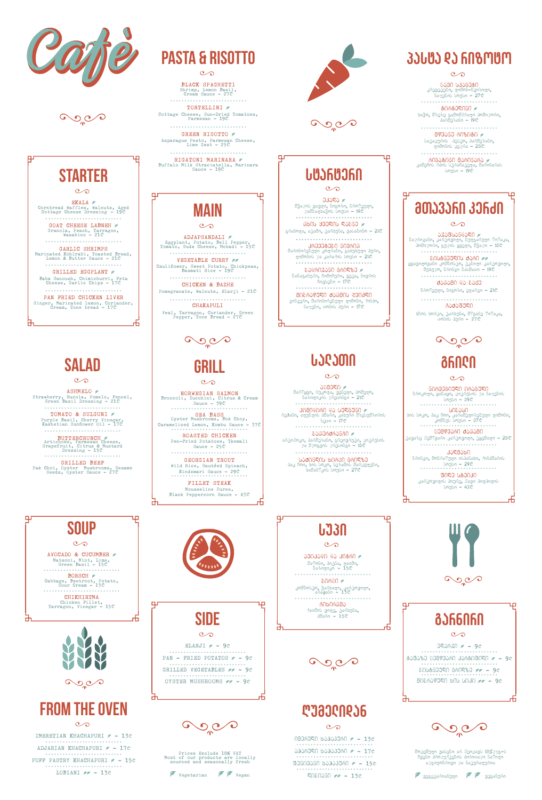

 $\mathbf{O}\mathbf{C}$ 

# **STARTER**

Ψ

市

击

Ψ

щ

 $\infty$ 

EKALA Cornbread Waffles, Walnuts, Aged<br>Cottage Cheese Dressing - 19C ...........................

GOAT CHEESE LABNEH  $\sigma$ Granola, Peach, Tarragon,<br>Wasabino - 21C

Baba Ganoush, Chimichurri, Feta<br>Cheese, Garlic Chips - 17C ...........................

PAN FRIED CHICKEN LIVER Ginger, Marinated lemon, Coriander,<br>Cream, Tone bread - 17C

........................... GARLIC SHRIMPS Marinated Kohlrabi, Toasted Bread,<br>Lemon & Butter Sauce - 21C ...........................

GRILLED EGGPLANT  $\in$ 

ASHMELO Strawberry, Rucola, Pomelo, Fennel,<br>Green Basil Dressing - 21C

........................... TOMATO & SULGUNI  $\sigma$ Purple Basil, Cherry Vinegar,<br>Kakhetian Sunflower Oil - 17C

BUTTERCRUNCH Artichoke, Parmesan Cheese, Grapefruit, Citrus & Mustard Dressing - 15<sup>c</sup>

GRILLED BEEF Pak Choi, Oyster Mushrooms, Sesame<br>Seeds, Oyster Sauce – 27C

## **Salad**

 $\infty$ 

58090 მარწყვი, რუკოლა, ვენელი, პომელო,  $\delta$ აზილიკის ღრესინგი – 21 $\mathbb{P}$ ...........................

pomidori da sulguni rehani, alublis Zmari, kaxuri mzesumziris  $\delta$ ეთი – 17 $\mathbb{C}$ 

........................... &ᲐᲗᲔᲠᲫᲠᲐᲜᲩᲘ არტიშოკი, პარმეზანი, გრეიფრუტი, ციტრუსის და მდოგვის დრესინგი - 15c

........................... \_\_\_\_**სპძ**‼ნᲚᲘს\_ხ‼რჱᲘ\_ᲒრᲘᲚზᲔ<br>პაკ ჩოი, ხის სოკო, სეზამის მარცვლები,

ხამანწკის სოუსი **– 27**₾

# **LJ30**

...........................

........................... GREEN RISOTTO Asparagus Pesto, Parmesan Cheese,<br>Lime Zest - 25C

........................... RIGATONI MARINARA Buffalo Milk Straciatella, Marinara<br>Sauce **- 19**C

VEGETABLE CURRY Cauliflower, Sweet Potato, Chickpeas, Basmati Rice - 19<sup>c</sup>

## **salaTi**

 $\infty$ 

Pomegranate, Walnuts, Elarji - 21C ...........................

CHAKAPULI Veal, Tarragon, Coriander, Green<br>Pepper, Tone Bread - 27C

 $O_0$ 

32390264250 2 bagmagaba, kamangara, bulasingga yaya, პომიღორი, გუღის ყველი, მჭაღი – 15 $\mathbb C$ ...........................

- შ**სსტნეულეს ძარე** *გგ*<br>ყვავილოვანი კომბოსტო, ტკბილი კარტოფილი, მუბუღო, ბრინჯი ბასმათი – 19₾ ...........................

 $d$ ᲐᲗᲐᲛᲘ ᲓᲐ ᲒᲐᲟᲔ ბროწეული, ნიგოზი, ელარჯი -  $21$ ₾

Caqafuli ხბოს ხორცი, ტარხუნა, მწვანე წიწაკა, თონის პური - 27 $\mathbb C$ 



...........................  $806809050$ ხაჭო, მზეზე გამომშრალი პომიღორი, პარმეზანი –  $19<sup>o</sup>$ 

........................... 873550 608060 p სატაცურის პესტო, პარმეზანი, ლიმონის ცეღრა -  $25<sup>°</sup>$ 



 $\mathcal{C}$ 

........................... ri Mana 1990 მარინპრპ<br>კამეჩის რმის სტრაჩატელა, მარინარას სოუსი - 19

# **amJ3JFN 3JFJN**

Ψ

 $\infty$ 

BLACK SPAGHETTI Shrimp, Lemon Basil,<br>Cream Sauce - 27C ...........................

TORTELLINI  $\epsilon$ Cottage Cheese, Sun-Dried Tomatoes,<br>Parmesan - 19C

> $0.35R$ მჭაღის ვავლი, ნიგოზი, ბროწეული, podbogbo3mb bmgbn - 19C ...........................

 $\sim$  0605 yaventudio laboration laboration laboration laboration laboration laboration laboration laboration laboration laboration laboration laboration laboration laboration laboration laboration laboration laboration la  $\delta$ რანოღა, ატამი, ტარხუნა, ვასაბინო - 21 $\mathbb C$ 

........................... 80000 daman Randen

 $\alpha$ ინ $\alpha$ ერი, მარინირებული ლიმონი, ქინძი, ნაღები, თონის პური - 17 $\mathbb C$ 

# **main**

 $\infty$ 

ADJAPSANDALI Bggplant, Potato, Bell Pepper,<br>Tomato, Guda Cheese, Mchadi – 15C ...........................

........................... CHICKEN & BAZHE

NORWEGIAN SALMON Broccoli, Zucchini, Citrus & Cream Sauce – 39<sup>c</sup>

Caramelized Lemon, Kombu Sauce - 37 $\mathbb{C}$ ROASTED CHICKEN

Pen-Fried Potatoes, Tkemali Sauce  $-25<sup>\circ</sup>$ 

...........................

FILLET STEAK Mousseline Puree, Black Peppercorn Sauce -  $43^{\circ}$ 巾





# **pasta da rizoto**

 $\infty$ 

— შ**პმი სპპმმტი**<br>კრევეტები**,** ლიმონ–ბეიზილი**,** ნაღების სოუსი - 27 m

........................... 3ᲐᲦᲛᲐᲮᲘ ბრინ $\mathfrak{g}$ ი, მობრაწული ისპანახი, ქინძმარის sous - 29 mm<br>
ummun - 29 mm

 $B0Z0$   $U&0010$ კარტოვიღის პიურე, შავი პიღპიღის bmgbn - 43C

出

Ψ



# **starteri**

Ψ

巾

ш

 $\infty$ 

Ψ

由

Ψ

........................... 3რ030ტ020 603რ00 მარინირებული კოლრაბი, გახუხული პური, ლიმონის და კარაქის სოუსი **– 21**₾ ...........................

 $b$ 200603060 360980 2 ბაბაგანუში, ჩიმიჩური, ვეტა, ნივრის ჩივსები **– 1**7₾



щ



ш

# **Grill**

 $\infty$ 

SEA BASS Oyster Mushrooms, Bok Choy,

........................... GEORGIAN TROUT Wild Rice, Sautéed Spinach,

Kindzmari Sauce - 29C

# **grili**

 $\mathcal{C}$ 

5063030000 060800 ზროკოლი**, ყა**ზ**აყი,** ციტრუსის და ნაღეზის

sousi - 39<sup>h</sup> ........................... sibasi

bob bigin, dag Ano, კარამელიზებული ლიმონი, . კომბუს სოუსი – 37₾<br>....................

80893560 da00580 ტაფაზე შემწვარი კარტო<mark>ფილი, ტყ</mark>ემალი <mark>– 25</mark>₾